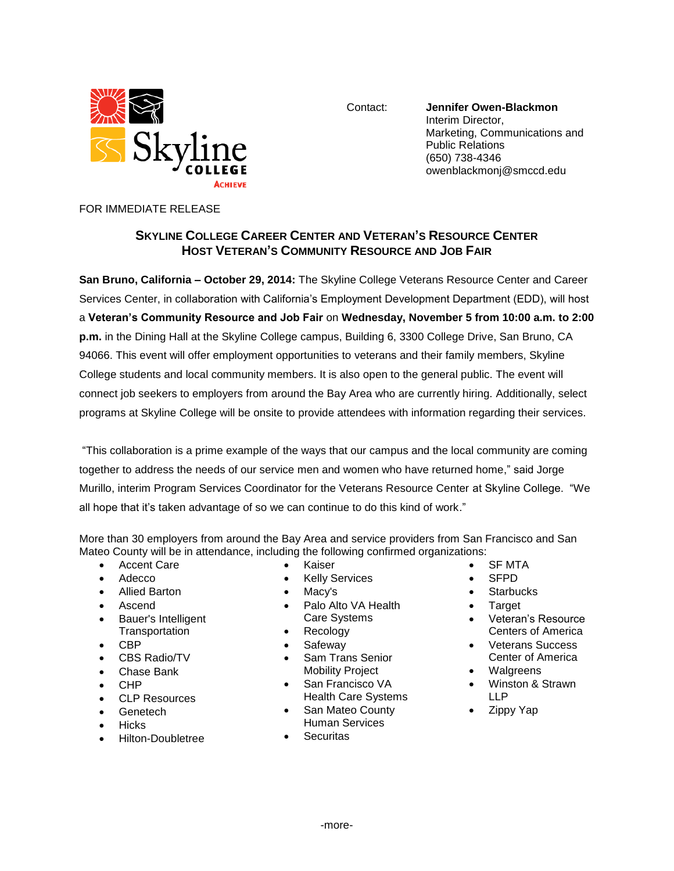

Contact: **Jennifer Owen-Blackmon** Interim Director, Marketing, Communications and Public Relations (650) 738-4346 owenblackmonj@smccd.edu

## FOR IMMEDIATE RELEASE

## **SKYLINE COLLEGE CAREER CENTER AND VETERAN'S RESOURCE CENTER HOST VETERAN'S COMMUNITY RESOURCE AND JOB FAIR**

**San Bruno, California – October 29, 2014:** The Skyline College Veterans Resource Center and Career Services Center, in collaboration with California's Employment Development Department (EDD), will host a **Veteran's Community Resource and Job Fair** on **Wednesday, November 5 from 10:00 a.m. to 2:00 p.m.** in the Dining Hall at the Skyline College campus, Building 6, 3300 College Drive, San Bruno, CA 94066. This event will offer employment opportunities to veterans and their family members, Skyline College students and local community members. It is also open to the general public. The event will connect job seekers to employers from around the Bay Area who are currently hiring. Additionally, select programs at Skyline College will be onsite to provide attendees with information regarding their services.

"This collaboration is a prime example of the ways that our campus and the local community are coming together to address the needs of our service men and women who have returned home," said Jorge Murillo, interim Program Services Coordinator for the Veterans Resource Center at Skyline College. "We all hope that it's taken advantage of so we can continue to do this kind of work."

More than 30 employers from around the Bay Area and service providers from San Francisco and San Mateo County will be in attendance, including the following confirmed organizations:

- Accent Care
- Adecco
- Allied Barton
- Ascend
- Bauer's Intelligent **Transportation**
- $\bullet$  CBP
- CBS Radio/TV
- Chase Bank
- CHP
- CLP Resources
- Genetech
- Hicks
- Hilton-Doubletree
- Kaiser
- Kelly Services
- Macy's
- Palo Alto VA Health Care Systems
- Recology
- Safeway
- Sam Trans Senior Mobility Project
- San Francisco VA
- Health Care Systems • San Mateo County Human Services
- **•** Securitas
- SF MTA
- SFPD
- **Starbucks**
- Target
- Veteran's Resource Centers of America
- Veterans Success Center of America
- Walgreens
- Winston & Strawn LLP
- Zippy Yap